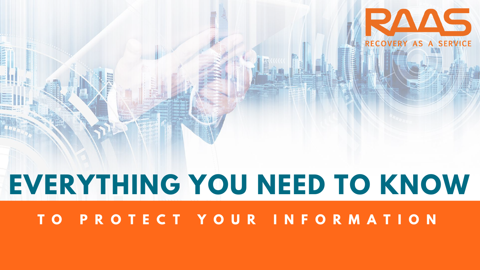# **T O P R O T E C T Y O U R I N F O R M A T I O N EVERYTHING YOU NEED TO KNOW**

I

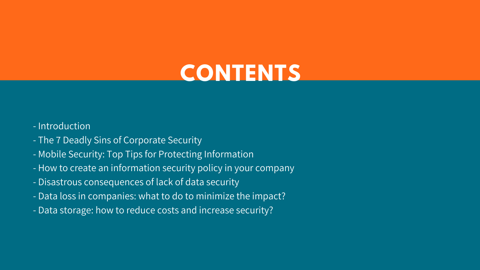## **CONTENTS**

- Introduction
- The 7 Deadly Sins of Corporate Security
- Mobile Security: Top Tips for Protecting Information
- How to create an information security policy in your company
- Disastrous consequences of lack of data security
- Data loss in companies: what to do to minimize the impact?
- Data storage: how to reduce costs and increase security?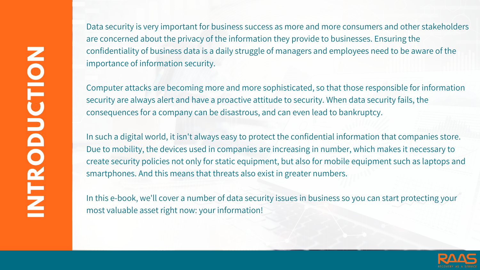**INTRODUCTI ON**

Data security is very important for business success as more and more consumers and other stakeholders are concerned about the privacy of the information they provide to businesses. Ensuring the confidentiality of business data is a daily struggle of managers and employees need to be aware of the importance of information security.

Computer attacks are becoming more and more sophisticated, so that those responsible for information security are always alert and have a proactive attitude to security. When data security fails, the consequences for a company can be disastrous, and can even lead to bankruptcy.

In such a digital world, it isn't always easy to protect the confidential information that companies store. Due to mobility, the devices used in companies are increasing in number, which makes it necessary to create security policies not only for static equipment, but also for mobile equipment such as laptops and smartphones. And this means that threats also exist in greater numbers.

In this e-book, we'll cover a number of data security issues in business so you can start protecting your most valuable asset right now: your information!

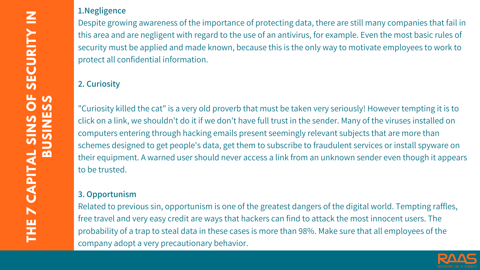#### **1.Negligence**

Despite growing awareness of the importance of protecting data, there are still many companies that fail in this area and are negligent with regard to the use of an antivirus, for example. Even the most basic rules of security must be applied and made known, because this is the only way to motivate employees to work to protect all confidential information.

## **2. Curiosity**

"Curiosity killed the cat" is a very old proverb that must be taken very seriously! However tempting it is to click on a link, we shouldn't do it if we don't have full trust in the sender. Many of the viruses installed on computers entering through hacking emails present seemingly relevant subjects that are more than schemes designed to get people's data, get them to subscribe to fraudulent services or install spyware on their equipment. A warned user should never access a link from an unknown sender even though it appears to be trusted.

#### **3. Opportunism**

Related to previous sin, opportunism is one of the greatest dangers of the digital world. Tempting raffles, free travel and very easy credit are ways that hackers can find to attack the most innocent users. The probability of a trap to steal data in these cases is more than 98%. Make sure that all employees of the company adopt a very precautionary behavior.

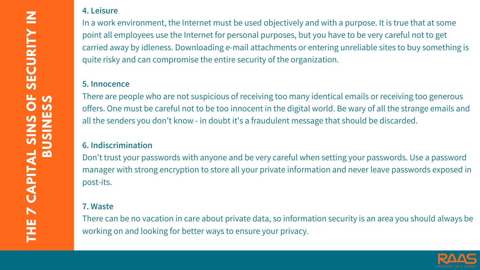#### **4. Leisure**

In a work environment, the Internet must be used objectively and with a purpose. It is true that at some point all employees use the Internet for personal purposes, but you have to be very careful not to get carried away by idleness. Downloading e-mail attachments or entering unreliable sites to buy something is quite risky and can compromise the entire security of the organization.

#### **5. Innocence**

There are people who are not suspicious of receiving too many identical emails or receiving too generous offers. One must be careful not to be too innocent in the digital world. Be wary of all the strange emails and all the senders you don't know - in doubt it's a fraudulent message that should be discarded.

#### **6. Indiscrimination**

Don't trust your passwords with anyone and be very careful when setting your passwords. Use a password manager with strong encryption to store all your private information and never leave passwords exposed in post-its.

#### **7. Waste**

There can be no vacation in care about private data, so information security is an area you should always be working on and looking for better ways to ensure your privacy.

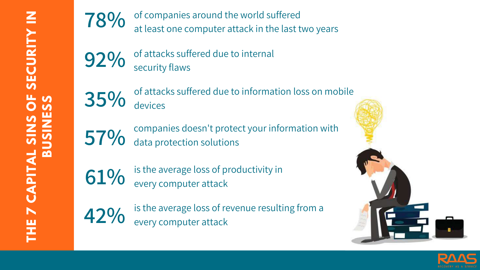of companies around the world suffered at least one computer attack in the last two years **78%**

of attacks suffered due to internal security flaws **92%**

of attacks suffered due to information loss on mobile devices **35%**

companies doesn't protect your information with data protection solutions **57%**

is the average loss of productivity in every computer attack **61%**

is the average loss of revenue resulting from a every computer attack **42%**





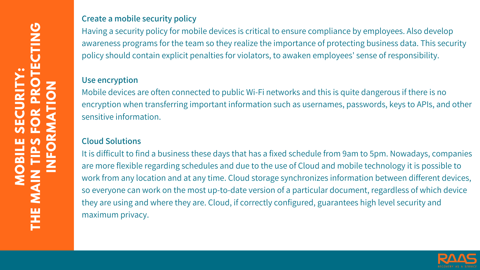#### **Create a mobile security policy**

Having a security policy for mobile devices is critical to ensure compliance by employees. Also develop awareness programs for the team so they realize the importance of protecting business data. This security policy should contain explicit penalties for violators, to awaken employees' sense of responsibility.

#### **Use encryption**

Mobile devices are often connected to public Wi-Fi networks and this is quite dangerous if there is no encryption when transferring important information such as usernames, passwords, keys to APIs, and other sensitive information.

#### **Cloud Solutions**

It is difficult to find a business these days that has a fixed schedule from 9am to 5pm. Nowadays, companies are more flexible regarding schedules and due to the use of Cloud and mobile technology it is possible to work from any location and at any time. Cloud storage synchronizes information between different devices, so everyone can work on the most up-to-date version of a particular document, regardless of which device they are using and where they are. Cloud, if correctly configured, guarantees high level security and maximum privacy.

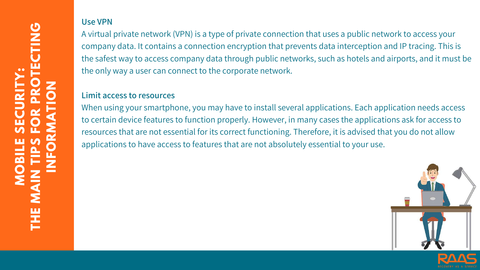**MOBI LES ECURI TY :THEMA I NTI PS FORPROTECTI NGI NFORMA TI ON**

## **Use VPN**

A virtual private network (VPN) is a type of private connection that uses a public network to access your company data. It contains a connection encryption that prevents data interception and IP tracing. This is the safest way to access company data through public networks, such as hotels and airports, and it must be the only way a user can connect to the corporate network.

#### **Limit access to resources**

When using your smartphone, you may have to install several applications. Each application needs access to certain device features to function properly. However, in many cases the applications ask for access to resources that are not essential for its correct functioning. Therefore, it is advised that you do not allow applications to have access to features that are not absolutely essential to your use.

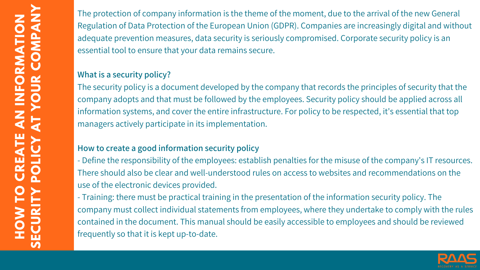The protection of company information is the theme of the moment, due to the arrival of the new General Regulation of Data Protection of the European Union (GDPR). Companies are increasingly digital and without adequate prevention measures, data security is seriously compromised. Corporate security policy is an essential tool to ensure that your data remains secure.

#### **What is a security policy?**

The security policy is a document developed by the company that records the principles of security that the company adopts and that must be followed by the employees. Security policy should be applied across all information systems, and cover the entire infrastructure. For policy to be respected, it's essential that top managers actively participate in its implementation.

#### **How to create a good information security policy**

- Define the responsibility of the employees: establish penalties for the misuse of the company's IT resources. There should also be clear and well-understood rules on access to websites and recommendations on the use of the electronic devices provided.

- Training: there must be practical training in the presentation of the information security policy. The company must collect individual statements from employees, where they undertake to comply with the rules contained in the document. This manual should be easily accessible to employees and should be reviewed frequently so that it is kept up-to-date.

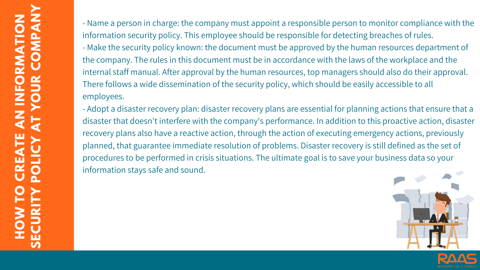- Name a person in charge: the company must appoint a responsible person to monitor compliance with the information security policy. This employee should be responsible for detecting breaches of rules. - Make the security policy known: the document must be approved by the human resources department of the company. The rules in this document must be in accordance with the laws of the workplace and the internal staff manual. After approval by the human resources, top managers should also do their approval. There follows a wide dissemination of the security policy, which should be easily accessible to all employees.

- Adopt a disaster recovery plan: disaster recovery plans are essential for planning actions that ensure that a disaster that doesn't interfere with the company's performance. In addition to this proactive action, disaster recovery plans also have a reactive action, through the action of executing emergency actions, previously planned, that guarantee immediate resolution of problems. Disaster recovery is still defined as the set of procedures to be performed in crisis situations. The ultimate goal is to save your business data so your information stays safe and sound.



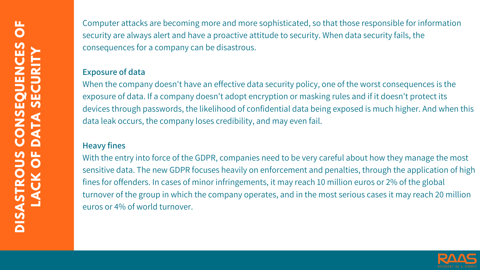Computer attacks are becoming more and more sophisticated, so that those responsible for information security are always alert and have a proactive attitude to security. When data security fails, the consequences for a company can be disastrous.

#### **Exposure of data**

When the company doesn't have an effective data security policy, one of the worst consequences is the exposure of data. If a company doesn't adopt encryption or masking rules and if it doesn't protect its devices through passwords, the likelihood of confidential data being exposed is much higher. And when this data leak occurs, the company loses credibility, and may even fail.

#### **Heavy fines**

With the entry into force of the GDPR, companies need to be very careful about how they manage the most sensitive data. The new GDPR focuses heavily on enforcement and penalties, through the application of high fines for offenders. In cases of minor infringements, it may reach 10 million euros or 2% of the global turnover of the group in which the company operates, and in the most serious cases it may reach 20 million euros or 4% of world turnover.

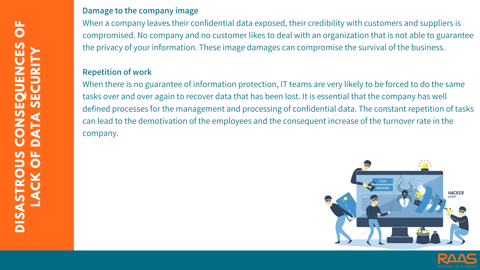#### **Damage to the company image**

When a company leaves their confidential data exposed, their credibility with customers and suppliers is compromised. No company and no customer likes to deal with an organization that is not able to guarantee the privacy of your information. These image damages can compromise the survival of the business.

#### **Repetition of work**

When there is no guarantee of information protection, IT teams are very likely to be forced to do the same tasks over and over again to recover data that has been lost. It is essential that the company has well defined processes for the management and processing of confidential data. The constant repetition of tasks can lead to the demotivation of the employees and the consequent increase of the turnover rate in the company.



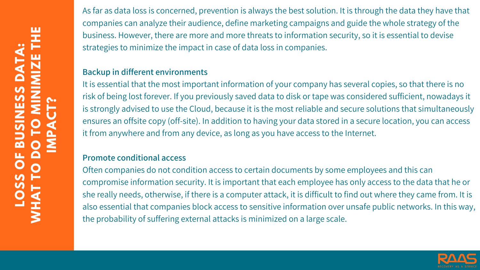As far as data loss is concerned, prevention is always the best solution. It is through the data they have that companies can analyze their audience, define marketing campaigns and guide the whole strategy of the business. However, there are more and more threats to information security, so it is essential to devise strategies to minimize the impact in case of data loss in companies.

#### **Backup in different environments**

It is essential that the most important information of your company has several copies, so that there is no risk of being lost forever. If you previously saved data to disk or tape was considered sufficient, nowadays it is strongly advised to use the Cloud, because it is the most reliable and secure solutions that simultaneously ensures an offsite copy (off-site). In addition to having your data stored in a secure location, you can access it from anywhere and from any device, as long as you have access to the Internet.

#### **Promote conditional access**

Often companies do not condition access to certain documents by some employees and this can compromise information security. It is important that each employee has only access to the data that he or she really needs, otherwise, if there is a computer attack, it is difficult to find out where they came from. It is also essential that companies block access to sensitive information over unsafe public networks. In this way, the probability of suffering external attacks is minimized on a large scale.

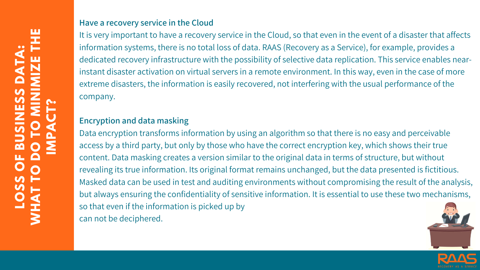#### **Have a recovery service in the Cloud**

It is very important to have a recovery service in the Cloud, so that even in the event of a disaster that affects information systems, there is no total loss of data. RAAS (Recovery as a Service), for example, provides a dedicated recovery infrastructure with the possibility of selective data replication. This service enables nearinstant disaster activation on virtual servers in a remote environment. In this way, even in the case of more extreme disasters, the information is easily recovered, not interfering with the usual performance of the company.

## **Encryption and data masking**

Data encryption transforms information by using an algorithm so that there is no easy and perceivable access by a third party, but only by those who have the correct encryption key, which shows their true content. Data masking creates a version similar to the original data in terms of structure, but without revealing its true information. Its original format remains unchanged, but the data presented is fictitious. Masked data can be used in test and auditing environments without compromising the result of the analysis, but always ensuring the confidentiality of sensitive information. It is essential to use these two mechanisms, so that even if the information is picked up by can not be deciphered.



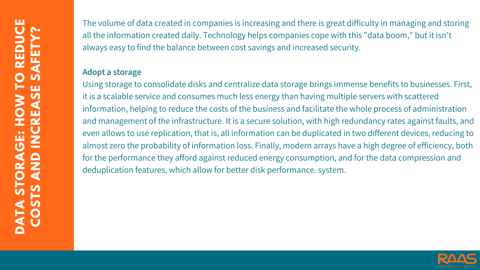The volume of data created in companies is increasing and there is great difficulty in managing and storing all the information created daily. Technology helps companies cope with this "data boom, " but it isn't always easy to find the balance between cost savings and increased security.

#### **Adopt a storage**

Using storage to consolidate disks and centralize data storage brings immense benefits to businesses. First, it is a scalable service and consumes much less energy than having multiple servers with scattered information, helping to reduce the costs of the business and facilitate the whole process of administration and management of the infrastructure. It is a secure solution, with high redundancy rates against faults, and even allows to use replication, that is, all information can be duplicated in two different devices, reducing to almost zero the probability of information loss. Finally, modern arrays have a high degree of efficiency, both for the performance they afford against reduced energy consumption, and for the data compression and deduplication features, which allow for better disk performance. system.

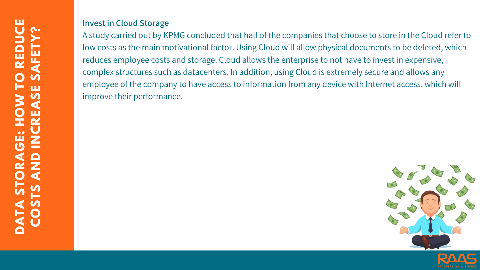#### **Invest in Cloud Storage**

A study carried out by KPMG concluded that half of the companies that choose to store in the Cloud refer to low costs as the main motivational factor. Using Cloud will allow physical documents to be deleted, which reduces employee costs and storage. Cloud allows the enterprise to not have to invest in expensive, complex structures such as datacenters. In addition, using Cloud is extremely secure and allows any employee of the company to have access to information from any device with Internet access, which will improve their [performance.](https://multipeers.itpeers.com/)



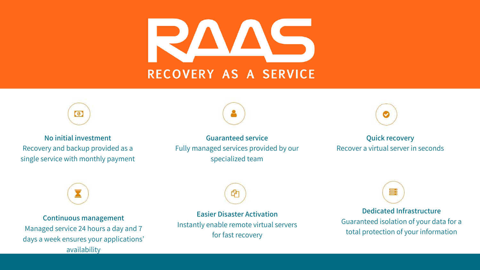



#### **No initial [investment](https://multipeers.itpeers.com/)** Recovery and backup provided as a single service with monthly payment



**Continuous [management](https://multipeers.itpeers.com/)** Managed service 24 hours a day and 7 days a week ensures your applications' availability



**Easier Disaster [Activation](https://multipeers.itpeers.com/)** Instantly enable remote virtual servers for fast recovery



#### **Dedicated [Infrastructure](https://multipeers.itpeers.com/)** Guaranteed isolation of your data for a total protection of your information

**[Guaranteed](https://multipeers.itpeers.com/) service** Fully managed services provided by our specialized team



#### **Quick [recovery](https://multipeers.itpeers.com/)** Recover a virtual server in seconds